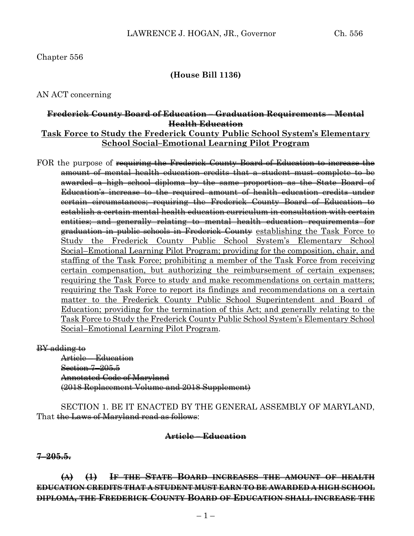# **(House Bill 1136)**

# AN ACT concerning

# **Frederick County Board of Education – Graduation Requirements – Mental Health Education**

# **Task Force to Study the Frederick County Public School System's Elementary School Social–Emotional Learning Pilot Program**

FOR the purpose of <del>requiring the Frederick County Board of Education to increase the</del> amount of mental health education credits that a student must complete to be awarded a high school diploma by the same proportion as the State Board of Education's increase to the required amount of health education credits under certain circumstances; requiring the Frederick County Board of Education to establish a certain mental health education curriculum in consultation with certain entities; and generally relating to mental health education requirements for graduation in public schools in Frederick County establishing the Task Force to Study the Frederick County Public School System's Elementary School Social–Emotional Learning Pilot Program; providing for the composition, chair, and staffing of the Task Force; prohibiting a member of the Task Force from receiving certain compensation, but authorizing the reimbursement of certain expenses; requiring the Task Force to study and make recommendations on certain matters; requiring the Task Force to report its findings and recommendations on a certain matter to the Frederick County Public School Superintendent and Board of Education; providing for the termination of this Act; and generally relating to the Task Force to Study the Frederick County Public School System's Elementary School Social–Emotional Learning Pilot Program.

#### BY adding to

Article – Education Section 7–205.5 Annotated Code of Maryland (2018 Replacement Volume and 2018 Supplement)

SECTION 1. BE IT ENACTED BY THE GENERAL ASSEMBLY OF MARYLAND, That the Laws of Maryland read as follows:

### **Article – Education**

### **7–205.5.**

**(A) (1) IF THE STATE BOARD INCREASES THE AMOUNT OF HEALTH EDUCATION CREDITS THAT A STUDENT MUST EARN TO BE AWARDED A HIGH SCHOOL DIPLOMA, THE FREDERICK COUNTY BOARD OF EDUCATION SHALL INCREASE THE**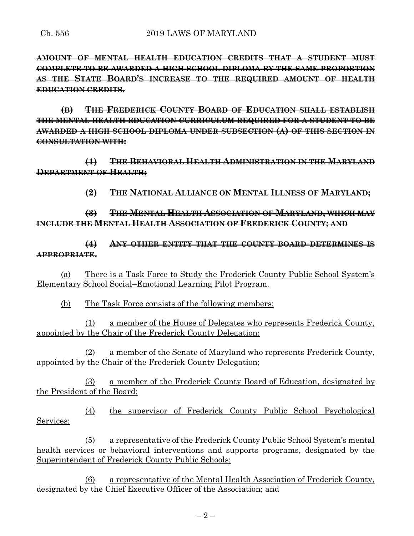**AMOUNT OF MENTAL HEALTH EDUCATION CREDITS THAT A STUDENT MUST COMPLETE TO BE AWARDED A HIGH SCHOOL DIPLOMA BY THE SAME PROPORTION AS THE STATE BOARD'S INCREASE TO THE REQUIRED AMOUNT OF HEALTH EDUCATION CREDITS.**

**(B) THE FREDERICK COUNTY BOARD OF EDUCATION SHALL ESTABLISH THE MENTAL HEALTH EDUCATION CURRICULUM REQUIRED FOR A STUDENT TO BE AWARDED A HIGH SCHOOL DIPLOMA UNDER SUBSECTION (A) OF THIS SECTION IN CONSULTATION WITH:**

**(1) THE BEHAVIORAL HEALTH ADMINISTRATION IN THE MARYLAND DEPARTMENT OF HEALTH;**

**(2) THE NATIONAL ALLIANCE ON MENTAL ILLNESS OF MARYLAND;**

**(3) THE MENTAL HEALTH ASSOCIATION OF MARYLAND, WHICH MAY INCLUDE THE MENTAL HEALTH ASSOCIATION OF FREDERICK COUNTY; AND**

**(4) ANY OTHER ENTITY THAT THE COUNTY BOARD DETERMINES IS APPROPRIATE.**

(a) There is a Task Force to Study the Frederick County Public School System's Elementary School Social–Emotional Learning Pilot Program.

(b) The Task Force consists of the following members:

(1) a member of the House of Delegates who represents Frederick County, appointed by the Chair of the Frederick County Delegation;

(2) a member of the Senate of Maryland who represents Frederick County, appointed by the Chair of the Frederick County Delegation;

(3) a member of the Frederick County Board of Education, designated by the President of the Board;

(4) the supervisor of Frederick County Public School Psychological Services;

(5) a representative of the Frederick County Public School System's mental health services or behavioral interventions and supports programs, designated by the Superintendent of Frederick County Public Schools;

(6) a representative of the Mental Health Association of Frederick County, designated by the Chief Executive Officer of the Association; and